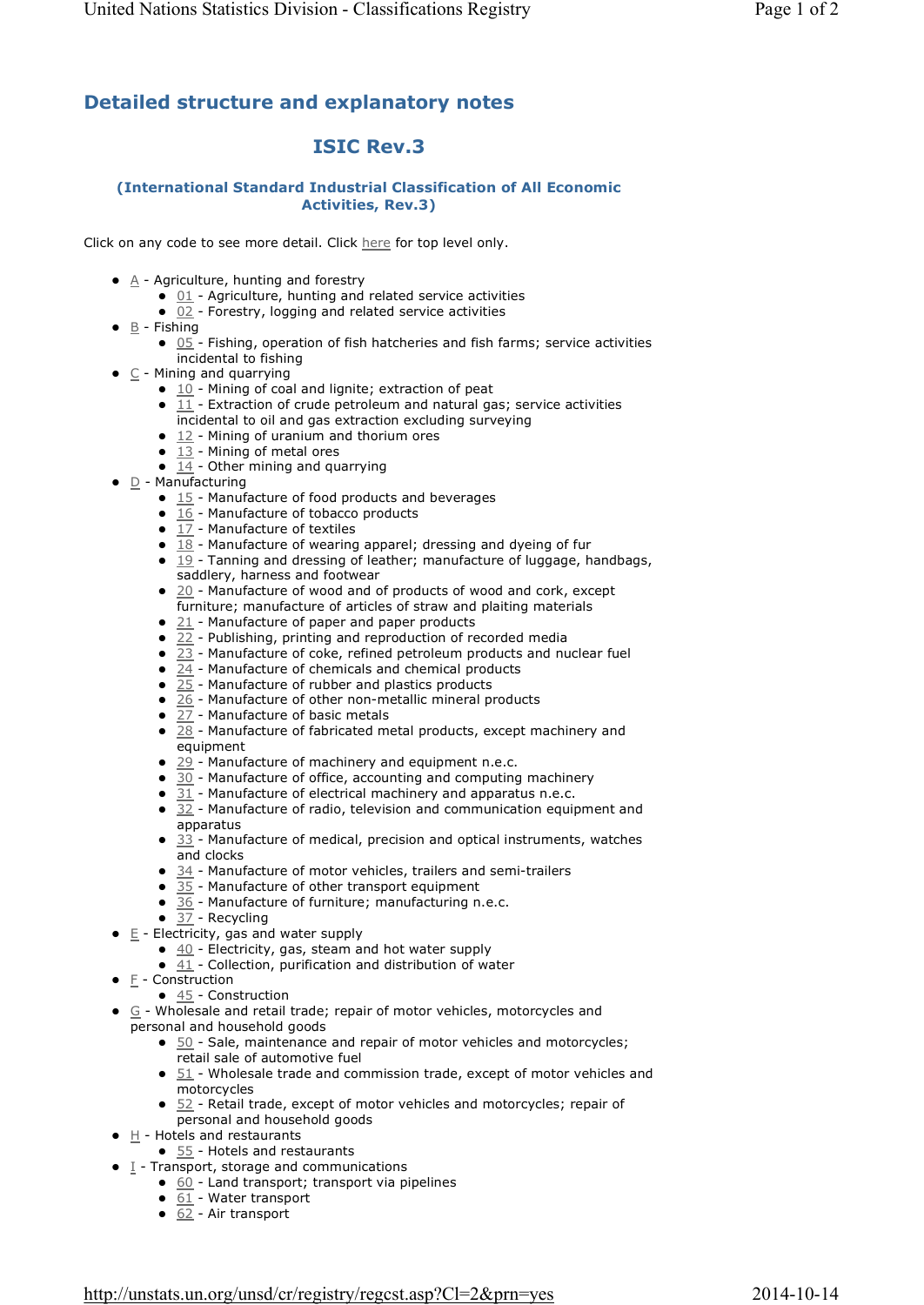## **Detailed structure and explanatory notes**

## **ISIC Rev.3**

## **(International Standard Industrial Classification of All Economic Activities, Rev.3)**

Click on any code to see more detail. Click here for top level only.

- $\bullet$   $\land$  Agriculture, hunting and forestry
	- $\bullet$  01 Agriculture, hunting and related service activities
	- $\bullet$  02 Forestry, logging and related service activities
- $\bullet$  B Fishing
	- $\bullet$  05 Fishing, operation of fish hatcheries and fish farms; service activities incidental to fishing
- $\bullet$   $\subset$  Mining and quarrying
	- $\bullet$  10 Mining of coal and lignite; extraction of peat
	- $\bullet$  11 Extraction of crude petroleum and natural gas; service activities incidental to oil and gas extraction excluding surveying
	- $\bullet$  12 Mining of uranium and thorium ores
	- $\bullet$  13 Mining of metal ores
	- $\overline{14}$  Other mining and quarrying
- $\bullet$  D Manufacturing
	- $\bullet$  15 Manufacture of food products and beverages
	- $\overline{16}$  Manufacture of tobacco products
	- $\bullet$  17 Manufacture of textiles
	- $\overline{18}$  Manufacture of wearing apparel; dressing and dyeing of fur
	- $\bullet$  19 Tanning and dressing of leather; manufacture of luggage, handbags, saddlery, harness and footwear
	- $20$  Manufacture of wood and of products of wood and cork, except furniture; manufacture of articles of straw and plaiting materials
	- $\bullet$  21 Manufacture of paper and paper products
	- $\bullet$  22 Publishing, printing and reproduction of recorded media
	- $\bullet$  23 Manufacture of coke, refined petroleum products and nuclear fuel
	- $\bullet$  24 Manufacture of chemicals and chemical products
	- $\bullet$  25 Manufacture of rubber and plastics products
	- $26$  Manufacture of other non-metallic mineral products
	- $\bullet$  27 Manufacture of basic metals
	- $\bullet$  28 Manufacture of fabricated metal products, except machinery and equipment
	- $\bullet$  29 Manufacture of machinery and equipment n.e.c.
	- $\bullet$  30 Manufacture of office, accounting and computing machinery
	- $\bullet$  31 Manufacture of electrical machinery and apparatus n.e.c.
	- $\bullet$  32 Manufacture of radio, television and communication equipment and apparatus
	- $\bullet$  33 Manufacture of medical, precision and optical instruments, watches and clocks
	- $\bullet$  34 Manufacture of motor vehicles, trailers and semi-trailers
	- $\bullet$  35 Manufacture of other transport equipment
	- $\bullet$  36 Manufacture of furniture; manufacturing n.e.c.
	- $\bullet$  37 Recycling
- $\bullet$   $E$  Electricity, gas and water supply
	- $\bullet$   $\underline{40}$  Electricity, gas, steam and hot water supply
	- $\bullet$  41 Collection, purification and distribution of water
- $\bullet$   $E$  Construction
- $\bullet$  45 Construction
- $\bullet$   $\subseteq$  Wholesale and retail trade; repair of motor vehicles, motorcycles and personal and household goods
	- $\bullet$  50 Sale, maintenance and repair of motor vehicles and motorcycles; retail sale of automotive fuel
	- $\bullet$  51 Wholesale trade and commission trade, except of motor vehicles and motorcycles
	- $\bullet$  52 Retail trade, except of motor vehicles and motorcycles; repair of personal and household goods
- $\bullet$  H Hotels and restaurants
	- $\bullet$  55 Hotels and restaurants
- **•** I Transport, storage and communications
	- $\bullet$  60 Land transport; transport via pipelines
		- $\bullet$   $\overline{61}$  Water transport
		- $\bullet$  62 Air transport